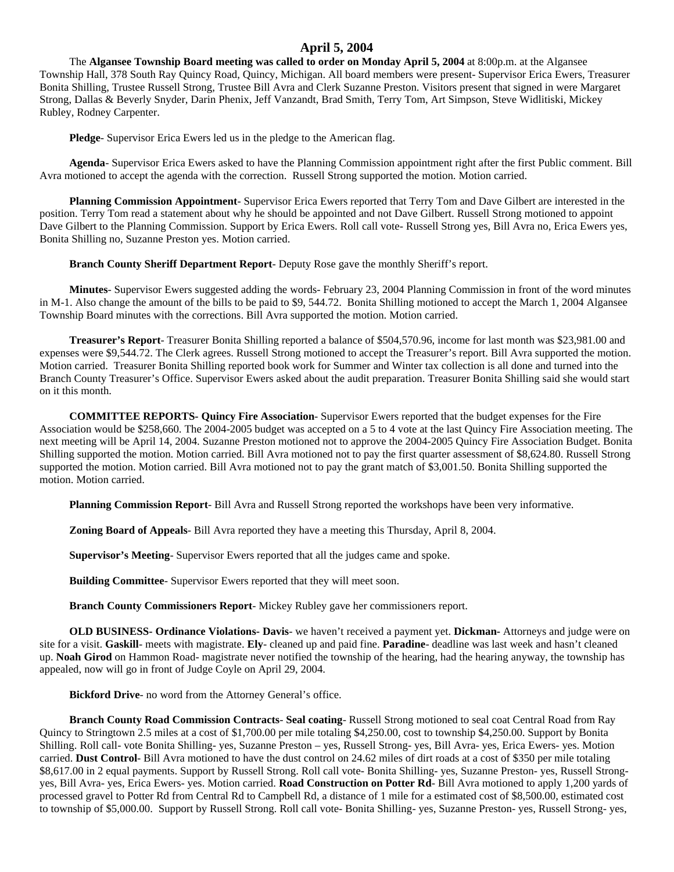## **April 5, 2004**

The **Algansee Township Board meeting was called to order on Monday April 5, 2004** at 8:00p.m. at the Algansee Township Hall, 378 South Ray Quincy Road, Quincy, Michigan. All board members were present- Supervisor Erica Ewers, Treasurer Bonita Shilling, Trustee Russell Strong, Trustee Bill Avra and Clerk Suzanne Preston. Visitors present that signed in were Margaret Strong, Dallas & Beverly Snyder, Darin Phenix, Jeff Vanzandt, Brad Smith, Terry Tom, Art Simpson, Steve Widlitiski, Mickey Rubley, Rodney Carpenter.

**Pledge**- Supervisor Erica Ewers led us in the pledge to the American flag.

**Agenda**- Supervisor Erica Ewers asked to have the Planning Commission appointment right after the first Public comment. Bill Avra motioned to accept the agenda with the correction. Russell Strong supported the motion. Motion carried.

**Planning Commission Appointment**- Supervisor Erica Ewers reported that Terry Tom and Dave Gilbert are interested in the position. Terry Tom read a statement about why he should be appointed and not Dave Gilbert. Russell Strong motioned to appoint Dave Gilbert to the Planning Commission. Support by Erica Ewers. Roll call vote- Russell Strong yes, Bill Avra no, Erica Ewers yes, Bonita Shilling no, Suzanne Preston yes. Motion carried.

**Branch County Sheriff Department Report**- Deputy Rose gave the monthly Sheriff's report.

**Minutes**- Supervisor Ewers suggested adding the words- February 23, 2004 Planning Commission in front of the word minutes in M-1. Also change the amount of the bills to be paid to \$9, 544.72. Bonita Shilling motioned to accept the March 1, 2004 Algansee Township Board minutes with the corrections. Bill Avra supported the motion. Motion carried.

**Treasurer's Report**- Treasurer Bonita Shilling reported a balance of \$504,570.96, income for last month was \$23,981.00 and expenses were \$9,544.72. The Clerk agrees. Russell Strong motioned to accept the Treasurer's report. Bill Avra supported the motion. Motion carried. Treasurer Bonita Shilling reported book work for Summer and Winter tax collection is all done and turned into the Branch County Treasurer's Office. Supervisor Ewers asked about the audit preparation. Treasurer Bonita Shilling said she would start on it this month.

**COMMITTEE REPORTS- Quincy Fire Association**- Supervisor Ewers reported that the budget expenses for the Fire Association would be \$258,660. The 2004-2005 budget was accepted on a 5 to 4 vote at the last Quincy Fire Association meeting. The next meeting will be April 14, 2004. Suzanne Preston motioned not to approve the 2004-2005 Quincy Fire Association Budget. Bonita Shilling supported the motion. Motion carried. Bill Avra motioned not to pay the first quarter assessment of \$8,624.80. Russell Strong supported the motion. Motion carried. Bill Avra motioned not to pay the grant match of \$3,001.50. Bonita Shilling supported the motion. Motion carried.

**Planning Commission Report**- Bill Avra and Russell Strong reported the workshops have been very informative.

**Zoning Board of Appeals**- Bill Avra reported they have a meeting this Thursday, April 8, 2004.

**Supervisor's Meeting**- Supervisor Ewers reported that all the judges came and spoke.

**Building Committee**- Supervisor Ewers reported that they will meet soon.

**Branch County Commissioners Report**- Mickey Rubley gave her commissioners report.

**OLD BUSINESS- Ordinance Violations- Davis**- we haven't received a payment yet. **Dickman-** Attorneys and judge were on site for a visit. **Gaskill**- meets with magistrate. **Ely**- cleaned up and paid fine. **Paradine**- deadline was last week and hasn't cleaned up. **Noah Girod** on Hammon Road- magistrate never notified the township of the hearing, had the hearing anyway, the township has appealed, now will go in front of Judge Coyle on April 29, 2004.

**Bickford Drive**- no word from the Attorney General's office.

**Branch County Road Commission Contracts**- **Seal coating**- Russell Strong motioned to seal coat Central Road from Ray Quincy to Stringtown 2.5 miles at a cost of \$1,700.00 per mile totaling \$4,250.00, cost to township \$4,250.00. Support by Bonita Shilling. Roll call- vote Bonita Shilling- yes, Suzanne Preston – yes, Russell Strong- yes, Bill Avra- yes, Erica Ewers- yes. Motion carried. **Dust Control**- Bill Avra motioned to have the dust control on 24.62 miles of dirt roads at a cost of \$350 per mile totaling \$8,617.00 in 2 equal payments. Support by Russell Strong. Roll call vote- Bonita Shilling- yes, Suzanne Preston- yes, Russell Strongyes, Bill Avra- yes, Erica Ewers- yes. Motion carried. **Road Construction on Potter Rd**- Bill Avra motioned to apply 1,200 yards of processed gravel to Potter Rd from Central Rd to Campbell Rd, a distance of 1 mile for a estimated cost of \$8,500.00, estimated cost to township of \$5,000.00. Support by Russell Strong. Roll call vote- Bonita Shilling- yes, Suzanne Preston- yes, Russell Strong- yes,